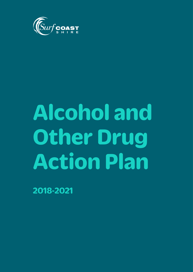

# **Alcohol and Other Drug Action Plan**

2018-2021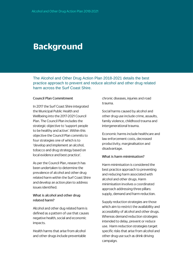### **Background**

The Alcohol and Other Drug Action Plan 2018-2021 details the best practice approach to prevent and reduce alcohol and other drug related harm across the Surf Coast Shire.

### **Council Plan Commitment**

In 2017 the Surf Coast Shire integrated the Municipal Public Health and Wellbeing into the 2017-2021 Council Plan. The Council Plan includes the strategic objective to 'support people to be healthy and active'. Within this objective the Council Plan commits to four strategies one of which is to 'develop and implement an alcohol, tobacco and drug strategy based on local evidence and best practice'.

As per the Council Plan, research has been undertaken to determine the prevalence of alcohol and other drug related harm within the Surf Coast Shire and develop an action plan to address issues identified.

### What is alcohol and other drug related harm?

Alcohol and other dug related harm is defined as a pattern of use that causes negative health, social and economic impacts.

Health harms that arise from alcohol and other drugs include preventable chronic diseases, injuries and road trauma.

Social harms caused by alcohol and other drug use include crime, assaults, family violence, childhood trauma and intergenerational trauma.

Economic harms include healthcare and law enforcement costs, decreased productivity, marginalisation and disadvantage.

#### What is harm minimisation?

Harm minimisation is considered the best practice approach to preventing and reducing harm associated with alcohol and other drugs. Harm minimisation involves a coordinated approach addressing three pillars: supply, demand and harm reduction.

Supply reduction strategies are those which aim to restrict the availability and accessibility of alcohol and other drugs. Whereas demand reduction strategies intended to delay, prevent or reduce use. Harm reduction strategies target specific risks that arise from alcohol and other drug use such as drink driving campaign.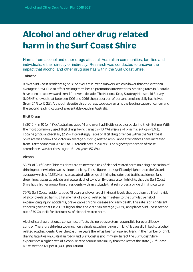# **Alcohol and other drug related** harm in the Surf Coast Shire

Harms from alcohol and other drugs affect all Australian communities, families and individuals, either directly or indirectly. Research was conducted to uncover the impact that alcohol and other drug use has within the Surf Coast Shire.

### **Tobacco**

10% of Surf Coast residents aged 18 or over are current smokers, which is lower than the Victorian average (13.1%). Due to effective long term health promotion interventions, smoking rates in Australia have been on a downward trend for over a decade. The National Drug Strategy Household Survey (NDSHS) showed that between 1991 and 2016 the proportion of persons smoking daily has halved (from 24% to 12.2%). Although despite this progress, tobacco remains the leading cause of cancer and the second leading cause of preventable death in Australia.

### **Illicit Drugs**

In 2016, 4 in 10 (or 43%) Australians aged 14 and over had illicitly used a drug during their lifetime. With the most commonly used illicit drugs being cannabis (10.4%), misuse of pharmaceuticals (3.6%), cocaine (2.5%) and ecstasy (2.2%). Interestingly, rates of illicit drug offences within the Surf Coast Shire are well below the Victorian average but drug related ambulance attendances have increased from 9 attendances in 2011/12 to 38 attendances in 2017/18. The highest proportion of these attendances was for those aged 15 - 24 years (57.8%).

### **Alcohol**

58.7% of Surf Coast Shire residents are at increased risk of alcohol-related harm on a single occasion of drinking; otherwise known as binge drinking. These figures are significantly higher than the Victorian average which is 42.5%. Harms associated with binge drinking include road traffic accidents, falls, drownings, assaults, suicide and acute alcohol toxicity. Evidence also highlights that the Surf Coast Shire has a higher proportion of residents with an attitude that reinforces a binge drinking culture.

79.7% Surf Coast residents aged 18 years and over are drinking at levels that put them at 'lifetime risk of alcohol-related harm'. Lifetime risk of alcohol related harm refers to the cumulative risk of experiencing injury, accidents, preventable chronic disease and early death. This rate is of significant concern given that t is 20.5 % higher than the Victorian average (59.2%) and places Surf Coast second out of 79 Councils for lifetime risk of alcohol related harm.

Alcohol is a drug that once consumed, affects the nervous system responsible for overall body control. Therefore drinking too much on a single occasion (binge drinking) is causally linked to alcoholrelated road incidents. Over the past five years there has been an upward trend in the number of drink driving fatalities on Australian roads and Surf Coast is not immune. In fact the Surf Coast Shire experiences a higher rate of alcohol related serious road injury than the rest of the state (Surf Coast 6.3 vs Victoria 4.1, per 10,000 population).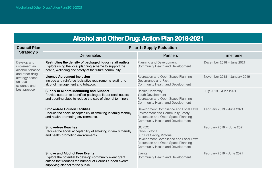## **Alcohol and Other Drug: Action Plan 2018-2021**

| <b>Council Plan</b><br><b>Strategy 6</b>                                                                                         | <b>Pillar 1: Supply Reduction</b>                                                                                                                                                               |                                                                                                                                                                                       |                              |  |
|----------------------------------------------------------------------------------------------------------------------------------|-------------------------------------------------------------------------------------------------------------------------------------------------------------------------------------------------|---------------------------------------------------------------------------------------------------------------------------------------------------------------------------------------|------------------------------|--|
|                                                                                                                                  | <b>Deliverables</b>                                                                                                                                                                             | <b>Partners</b>                                                                                                                                                                       | Timeframe                    |  |
| Develop and<br>implement an<br>alcohol, tobacco<br>and other drug<br>strategy based<br>on local<br>evidence and<br>best practice | Restricting the density of packaged liquor retail outlets<br>Explore using the local planning scheme to support the<br>health, wellbeing and safety of the future community.                    | <b>Planning and Development</b><br><b>Community Health and Development</b>                                                                                                            | December 2018 - June 2021    |  |
|                                                                                                                                  | <b>Licence Agreement Inclusion</b><br>Include and reinforce legislative requirements relating to<br>alcohol management and tobacco.                                                             | Recreation and Open Space Planning<br>Governance and Risk<br><b>Community Health and Development</b>                                                                                  | November 2018 - January 2019 |  |
|                                                                                                                                  | <b>Supply to Minors Monitoring and Support</b><br>Provide support to identified packaged liquor retail outlets<br>and sporting clubs to reduce the sale of alcohol to minors.                   | Deakin University<br><b>Youth Development</b><br>Recreation and Open Space Planning<br><b>Community Health and Development</b>                                                        | July 2019 - June 2021        |  |
|                                                                                                                                  | <b>Smoke-free Council Facilities</b><br>Reduce the social acceptability of smoking in family friendly<br>and health promoting environments.                                                     | Development Compliance and Local Laws<br><b>Environment and Community Safety</b><br>Recreation and Open Space Planning<br><b>Community Health and Development</b>                     | February 2019 - June 2021    |  |
|                                                                                                                                  | <b>Smoke-free Beaches</b><br>Reduce the social acceptability of smoking in family friendly<br>and health promoting environments.                                                                | <b>GORCC</b><br>Parks Victoria<br>Surf Life Saving Victoria<br>Development Compliance and Local Laws<br>Recreation and Open Space Planning<br><b>Community Health and Development</b> | February 2019 - June 2021    |  |
|                                                                                                                                  | <b>Smoke and Alcohol Free Events</b><br>Explore the potential to develop community event grant<br>criteria that reduces the number of Council funded events<br>supplying alcohol to the public. | <b>Events</b><br><b>Community Health and Development</b>                                                                                                                              | February 2019 - June 2021    |  |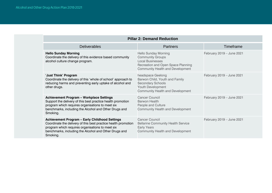| <b>Pillar 2: Demand Reduction</b>                                                                                                                                                                                                                |                                                                                                                                                                    |                           |  |  |  |
|--------------------------------------------------------------------------------------------------------------------------------------------------------------------------------------------------------------------------------------------------|--------------------------------------------------------------------------------------------------------------------------------------------------------------------|---------------------------|--|--|--|
| <b>Deliverables</b>                                                                                                                                                                                                                              | <b>Partners</b>                                                                                                                                                    | Timeframe                 |  |  |  |
| <b>Hello Sunday Morning</b><br>Coordinate the delivery of this evidence based community<br>alcohol culture change program.                                                                                                                       | <b>Hello Sunday Morning</b><br><b>Community Groups</b><br><b>Local Businesses</b><br>Recreation and Open Space Planning<br><b>Community Health and Development</b> | February 2019 - June 2021 |  |  |  |
| 'Just Think' Program<br>Coordinate the delivery of this 'whole of school' approach to<br>reducing harms and preventing early uptake of alcohol and<br>other drugs.                                                                               | headspace Geelong<br>Barwon Child, Youth and Family<br><b>Secondary Schools</b><br><b>Youth Development</b><br><b>Community Health and Development</b>             | February 2019 - June 2021 |  |  |  |
| <b>Achievement Program - Workplace Settings</b><br>Support the delivery of this best practice health promotion<br>program which requires organisations to meet six<br>benchmarks, including the Alcohol and Other Drugs and<br>Smoking.          | <b>Cancer Council</b><br><b>Barwon Health</b><br>People and Culture<br><b>Community Health and Development</b>                                                     | February 2019 - June 2021 |  |  |  |
| <b>Achievement Program - Early Childhood Settings</b><br>Coordinate the delivery of this best practice health promotion<br>program which requires organisations to meet six<br>benchmarks, including the Alcohol and Other Drugs and<br>Smoking. | <b>Cancer Council</b><br><b>Bellarine Community Health Service</b><br><b>Early Years</b><br><b>Community Health and Development</b>                                | February 2019 - June 2021 |  |  |  |